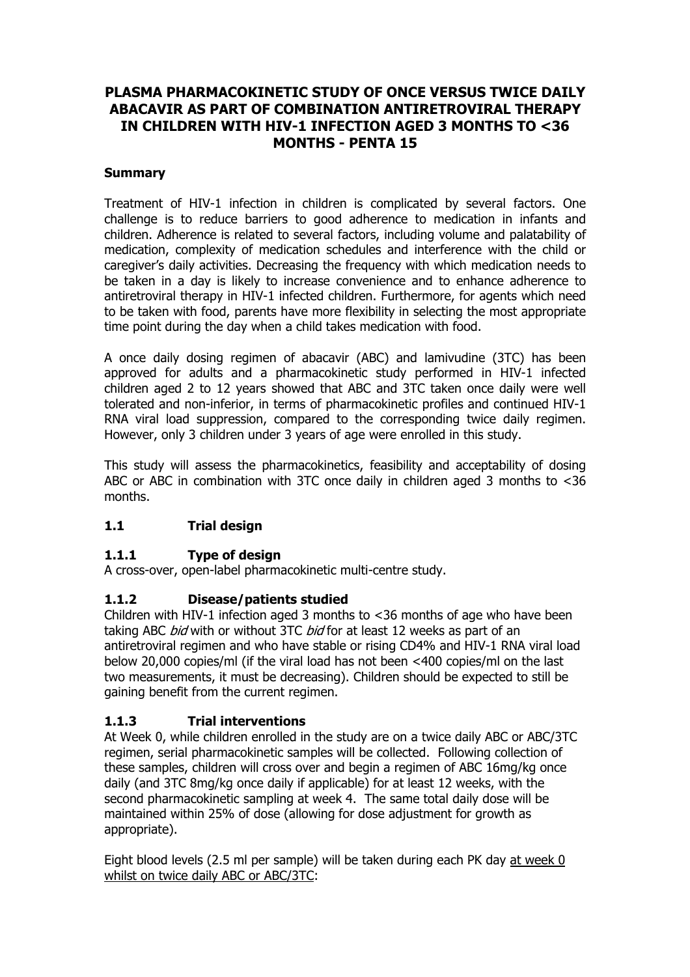# **PLASMA PHARMACOKINETIC STUDY OF ONCE VERSUS TWICE DAILY ABACAVIR AS PART OF COMBINATION ANTIRETROVIRAL THERAPY IN CHILDREN WITH HIV-1 INFECTION AGED 3 MONTHS TO <36 MONTHS - PENTA 15**

#### **Summary**

Treatment of HIV-1 infection in children is complicated by several factors. One challenge is to reduce barriers to good adherence to medication in infants and children. Adherence is related to several factors, including volume and palatability of medication, complexity of medication schedules and interference with the child or caregiver's daily activities. Decreasing the frequency with which medication needs to be taken in a day is likely to increase convenience and to enhance adherence to antiretroviral therapy in HIV-1 infected children. Furthermore, for agents which need to be taken with food, parents have more flexibility in selecting the most appropriate time point during the day when a child takes medication with food.

A once daily dosing regimen of abacavir (ABC) and lamivudine (3TC) has been approved for adults and a pharmacokinetic study performed in HIV-1 infected children aged 2 to 12 years showed that ABC and 3TC taken once daily were well tolerated and non-inferior, in terms of pharmacokinetic profiles and continued HIV-1 RNA viral load suppression, compared to the corresponding twice daily regimen. However, only 3 children under 3 years of age were enrolled in this study.

This study will assess the pharmacokinetics, feasibility and acceptability of dosing ABC or ABC in combination with 3TC once daily in children aged 3 months to <36 months.

#### **1.1 Trial design**

## **1.1.1 Type of design**

A cross-over, open-label pharmacokinetic multi-centre study.

## **1.1.2 Disease/patients studied**

Children with HIV-1 infection aged 3 months to <36 months of age who have been taking ABC *bid* with or without 3TC *bid* for at least 12 weeks as part of an antiretroviral regimen and who have stable or rising CD4% and HIV-1 RNA viral load below 20,000 copies/ml (if the viral load has not been <400 copies/ml on the last two measurements, it must be decreasing). Children should be expected to still be gaining benefit from the current regimen.

## **1.1.3 Trial interventions**

At Week 0, while children enrolled in the study are on a twice daily ABC or ABC/3TC regimen, serial pharmacokinetic samples will be collected. Following collection of these samples, children will cross over and begin a regimen of ABC 16mg/kg once daily (and 3TC 8mg/kg once daily if applicable) for at least 12 weeks, with the second pharmacokinetic sampling at week 4. The same total daily dose will be maintained within 25% of dose (allowing for dose adjustment for growth as appropriate).

Eight blood levels (2.5 ml per sample) will be taken during each PK day at week 0 whilst on twice daily ABC or ABC/3TC: